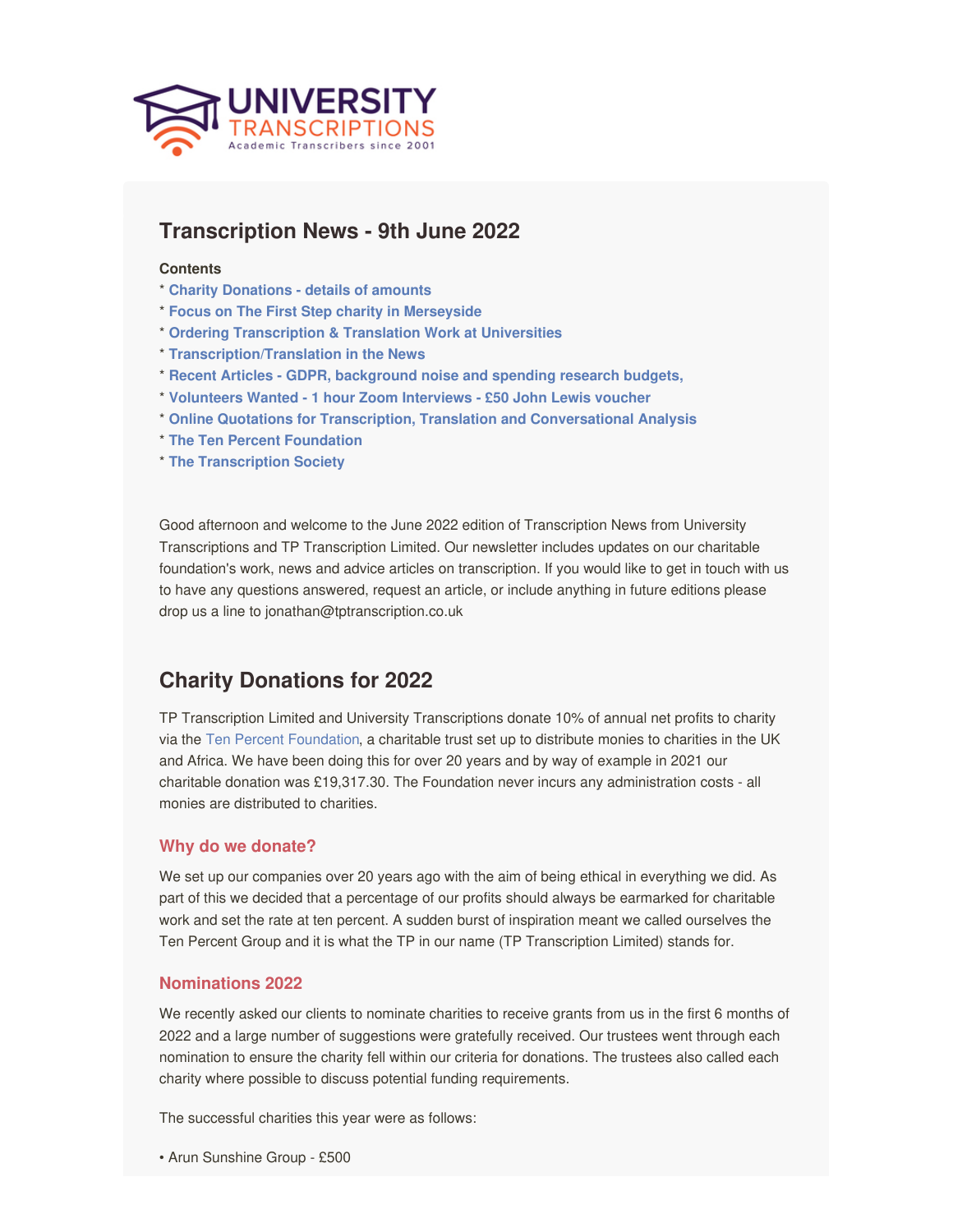<span id="page-0-0"></span>

# **Transcription News - 9th June 2022**

#### **Contents**

- \* **Charity [Donations](#page-0-0) - details of amounts**
- \* **Focus on The First Step charity in [Merseyside](#page-0-0)**
- \* **Ordering [Transcription](#page-0-0) & Translation Work at Universities**
- \* **[Transcription/Translation](#page-0-0) in the News**
- \* **Recent Articles - GDPR, [background](#page-0-0) noise and spending research budgets,**
- \* **[Volunteers](#page-0-0) Wanted - 1 hour Zoom Interviews - £50 John Lewis voucher**
- \* **Online Quotations for Transcription, Translation and [Conversational](https://www.universitytranscriptions.co.uk/transcription-quote-request/) Analysis**
- \* **The Ten Percent [Foundation](http://tenpercentfoundation.org)**
- \* **The [Transcription](http://www.transcriptionsociety.org) Society**

Good afternoon and welcome to the June 2022 edition of Transcription News from University Transcriptions and TP Transcription Limited. Our newsletter includes updates on our charitable foundation's work, news and advice articles on transcription. If you would like to get in touch with us to have any questions answered, request an article, or include anything in future editions please drop us a line to jonathan@tptranscription.co.uk

# **Charity Donations for 2022**

TP Transcription Limited and University Transcriptions donate 10% of annual net profits to charity via the Ten Percent [Foundation](http://www.tenpercentfoundation.org), a charitable trust set up to distribute monies to charities in the UK and Africa. We have been doing this for over 20 years and by way of example in 2021 our charitable donation was £19,317.30. The Foundation never incurs any administration costs - all monies are distributed to charities.

### **Why do we donate?**

We set up our companies over 20 years ago with the aim of being ethical in everything we did. As part of this we decided that a percentage of our profits should always be earmarked for charitable work and set the rate at ten percent. A sudden burst of inspiration meant we called ourselves the Ten Percent Group and it is what the TP in our name (TP Transcription Limited) stands for.

### **Nominations 2022**

We recently asked our clients to nominate charities to receive grants from us in the first 6 months of 2022 and a large number of suggestions were gratefully received. Our trustees went through each nomination to ensure the charity fell within our criteria for donations. The trustees also called each charity where possible to discuss potential funding requirements.

The successful charities this year were as follows:

• Arun Sunshine Group - £500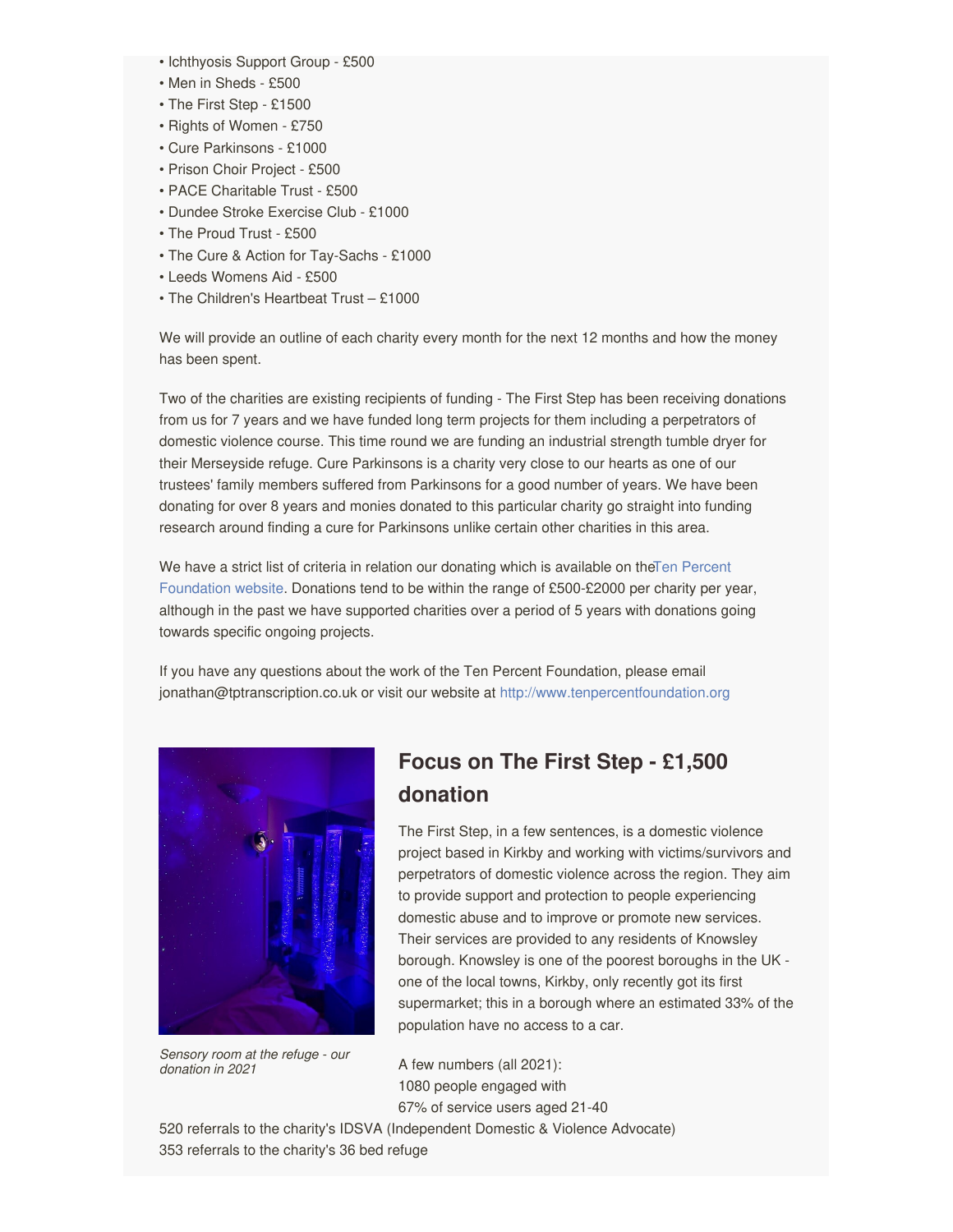- Ichthyosis Support Group £500
- Men in Sheds £500
- The First Step £1500
- Rights of Women £750
- Cure Parkinsons £1000
- Prison Choir Project £500
- PACE Charitable Trust £500
- Dundee Stroke Exercise Club £1000
- The Proud Trust £500
- The Cure & Action for Tay-Sachs £1000
- Leeds Womens Aid £500
- The Children's Heartbeat Trust £1000

We will provide an outline of each charity every month for the next 12 months and how the money has been spent.

Two of the charities are existing recipients of funding - The First Step has been receiving donations from us for 7 years and we have funded long term projects for them including a perpetrators of domestic violence course. This time round we are funding an industrial strength tumble dryer for their Merseyside refuge. Cure Parkinsons is a charity very close to our hearts as one of our trustees' family members suffered from Parkinsons for a good number of years. We have been donating for over 8 years and monies donated to this particular charity go straight into funding research around finding a cure for Parkinsons unlike certain other charities in this area.

We have a strict list of criteria in relation our donating which is available on theTen Percent Foundation website. Donations tend to be within the range of [£500-£2000](http://www.tenpercentfoundation.org) per charity per year, although in the past we have supported charities over a period of 5 years with donations going towards specific ongoing projects.

If you have any questions about the work of the Ten Percent Foundation, please email jonathan@tptranscription.co.uk or visit our website at <http://www.tenpercentfoundation.org>



*Sensory room at the refuge - our donation in 2021*

# **Focus on The First Step - £1,500 donation**

The First Step, in a few sentences, is a domestic violence project based in Kirkby and working with victims/survivors and perpetrators of domestic violence across the region. They aim to provide support and protection to people experiencing domestic abuse and to improve or promote new services. Their services are provided to any residents of Knowsley borough. Knowsley is one of the poorest boroughs in the UK one of the local towns, Kirkby, only recently got its first supermarket; this in a borough where an estimated 33% of the population have no access to a car.

A few numbers (all 2021): 1080 people engaged with 67% of service users aged 21-40

520 referrals to the charity's IDSVA (Independent Domestic & Violence Advocate) 353 referrals to the charity's 36 bed refuge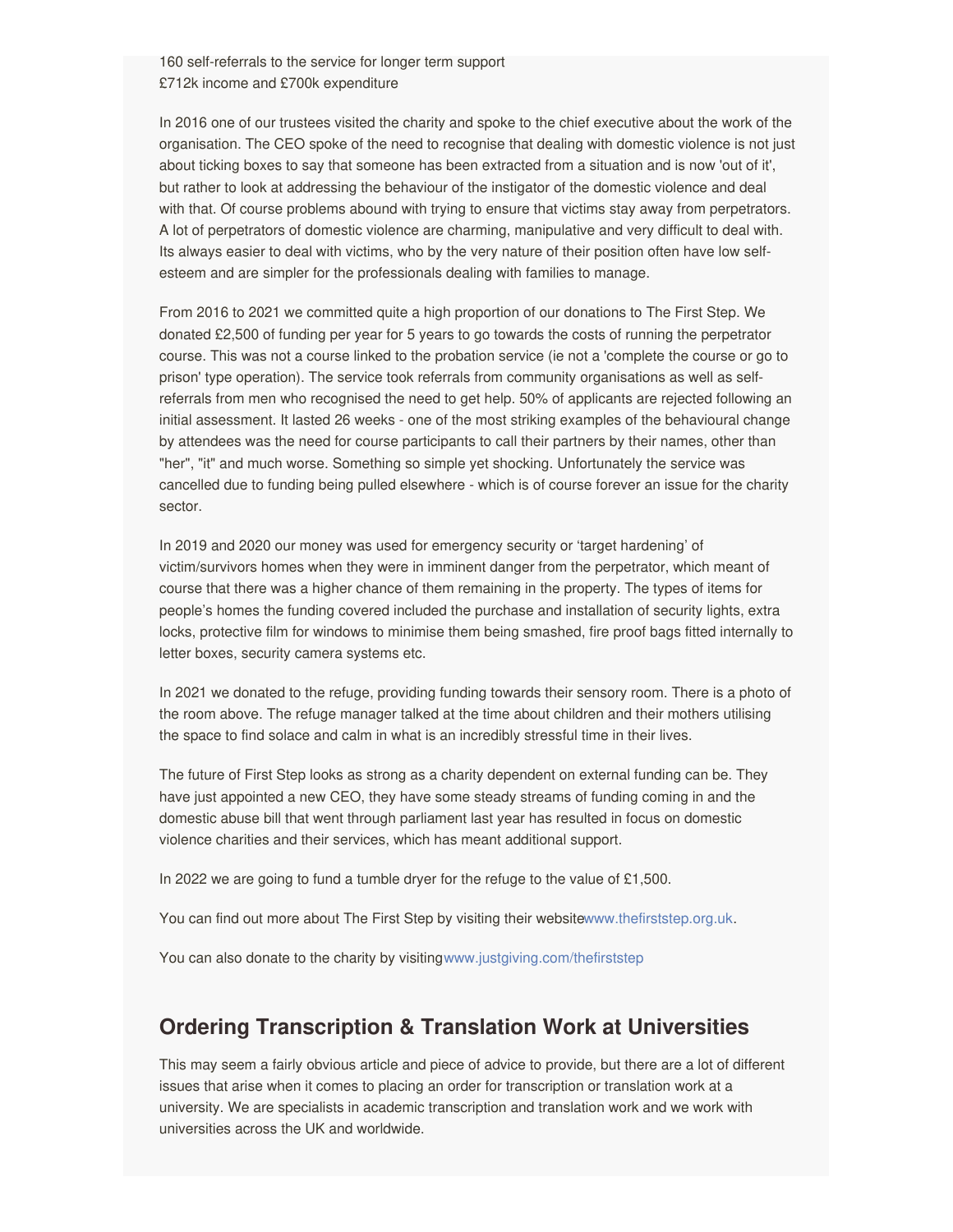160 self-referrals to the service for longer term support £712k income and £700k expenditure

In 2016 one of our trustees visited the charity and spoke to the chief executive about the work of the organisation. The CEO spoke of the need to recognise that dealing with domestic violence is not just about ticking boxes to say that someone has been extracted from a situation and is now 'out of it', but rather to look at addressing the behaviour of the instigator of the domestic violence and deal with that. Of course problems abound with trying to ensure that victims stay away from perpetrators. A lot of perpetrators of domestic violence are charming, manipulative and very difficult to deal with. Its always easier to deal with victims, who by the very nature of their position often have low selfesteem and are simpler for the professionals dealing with families to manage.

From 2016 to 2021 we committed quite a high proportion of our donations to The First Step. We donated £2,500 of funding per year for 5 years to go towards the costs of running the perpetrator course. This was not a course linked to the probation service (ie not a 'complete the course or go to prison' type operation). The service took referrals from community organisations as well as selfreferrals from men who recognised the need to get help. 50% of applicants are rejected following an initial assessment. It lasted 26 weeks - one of the most striking examples of the behavioural change by attendees was the need for course participants to call their partners by their names, other than "her", "it" and much worse. Something so simple yet shocking. Unfortunately the service was cancelled due to funding being pulled elsewhere - which is of course forever an issue for the charity sector.

In 2019 and 2020 our money was used for emergency security or 'target hardening' of victim/survivors homes when they were in imminent danger from the perpetrator, which meant of course that there was a higher chance of them remaining in the property. The types of items for people's homes the funding covered included the purchase and installation of security lights, extra locks, protective film for windows to minimise them being smashed, fire proof bags fitted internally to letter boxes, security camera systems etc.

In 2021 we donated to the refuge, providing funding towards their sensory room. There is a photo of the room above. The refuge manager talked at the time about children and their mothers utilising the space to find solace and calm in what is an incredibly stressful time in their lives.

The future of First Step looks as strong as a charity dependent on external funding can be. They have just appointed a new CEO, they have some steady streams of funding coming in and the domestic abuse bill that went through parliament last year has resulted in focus on domestic violence charities and their services, which has meant additional support.

In 2022 we are going to fund a tumble dryer for the refuge to the value of  $£1,500$ .

You can find out more about The First Step by visiting their websit[ewww.thefirststep.org.uk](https://www.thefirststep.org.uk).

You can also donate to the charity by visitin[gwww.justgiving.com/thefirststep](https://www.justgiving.com/thefirststep)

# **Ordering Transcription & Translation Work at Universities**

This may seem a fairly obvious article and piece of advice to provide, but there are a lot of different issues that arise when it comes to placing an order for transcription or translation work at a university. We are specialists in academic transcription and translation work and we work with universities across the UK and worldwide.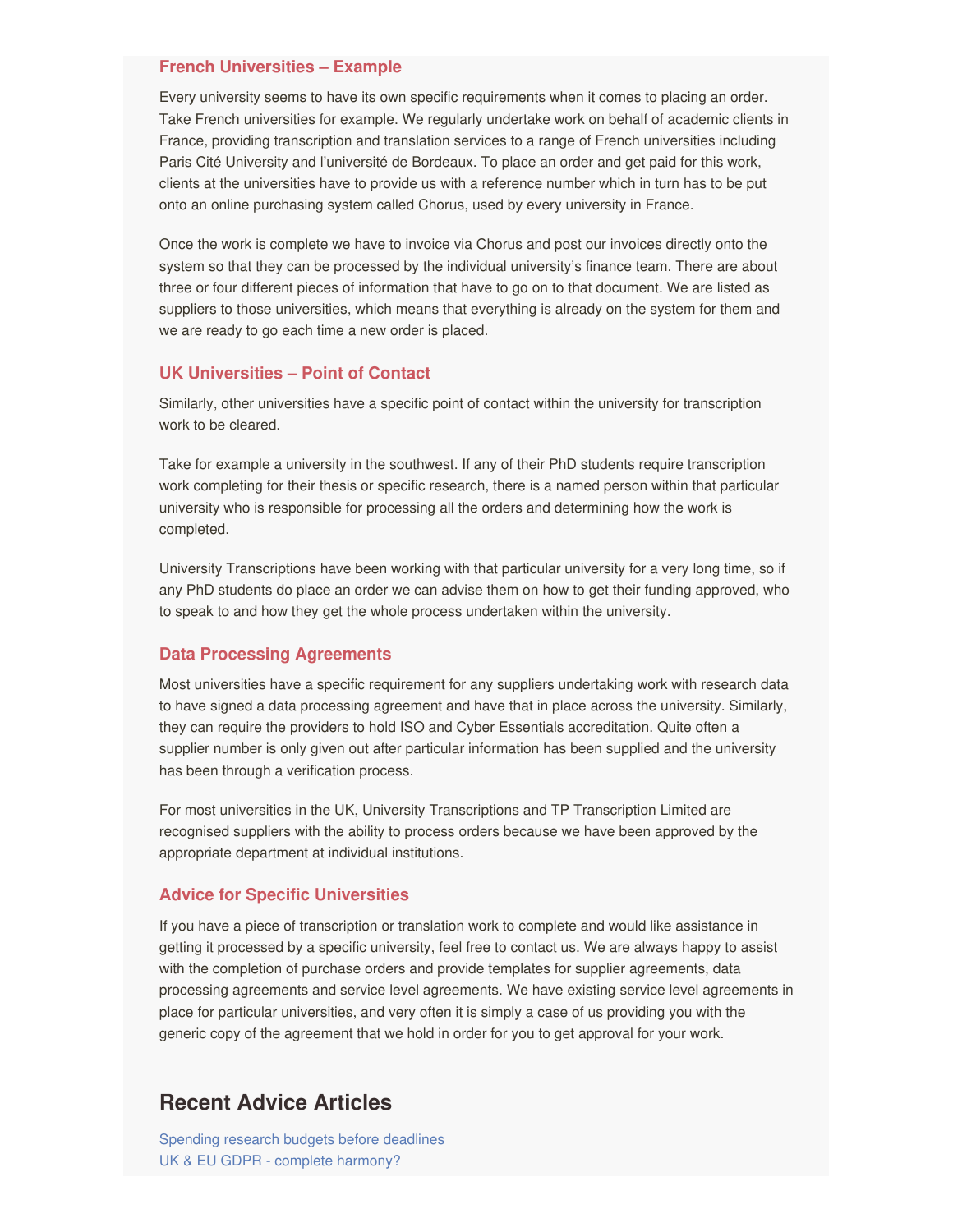#### **French Universities – Example**

Every university seems to have its own specific requirements when it comes to placing an order. Take French universities for example. We regularly undertake work on behalf of academic clients in France, providing transcription and translation services to a range of French universities including Paris Cité University and l'université de Bordeaux. To place an order and get paid for this work, clients at the universities have to provide us with a reference number which in turn has to be put onto an online purchasing system called Chorus, used by every university in France.

Once the work is complete we have to invoice via Chorus and post our invoices directly onto the system so that they can be processed by the individual university's finance team. There are about three or four different pieces of information that have to go on to that document. We are listed as suppliers to those universities, which means that everything is already on the system for them and we are ready to go each time a new order is placed.

### **UK Universities – Point of Contact**

Similarly, other universities have a specific point of contact within the university for transcription work to be cleared.

Take for example a university in the southwest. If any of their PhD students require transcription work completing for their thesis or specific research, there is a named person within that particular university who is responsible for processing all the orders and determining how the work is completed.

University Transcriptions have been working with that particular university for a very long time, so if any PhD students do place an order we can advise them on how to get their funding approved, who to speak to and how they get the whole process undertaken within the university.

### **Data Processing Agreements**

Most universities have a specific requirement for any suppliers undertaking work with research data to have signed a data processing agreement and have that in place across the university. Similarly, they can require the providers to hold ISO and Cyber Essentials accreditation. Quite often a supplier number is only given out after particular information has been supplied and the university has been through a verification process.

For most universities in the UK, University Transcriptions and TP Transcription Limited are recognised suppliers with the ability to process orders because we have been approved by the appropriate department at individual institutions.

#### **Advice for Specific Universities**

If you have a piece of transcription or translation work to complete and would like assistance in getting it processed by a specific university, feel free to contact us. We are always happy to assist with the completion of purchase orders and provide templates for supplier agreements, data processing agreements and service level agreements. We have existing service level agreements in place for particular universities, and very often it is simply a case of us providing you with the generic copy of the agreement that we hold in order for you to get approval for your work.

### **Recent Advice Articles**

[Spending](https://www.tptranscription.co.uk/spending-research-budgets-before-deadlines/) research budgets before deadlines UK & EU GDPR - complete [harmony?](https://www.tptranscription.co.uk/eu-and-uk-gdpr-complete-harmony/)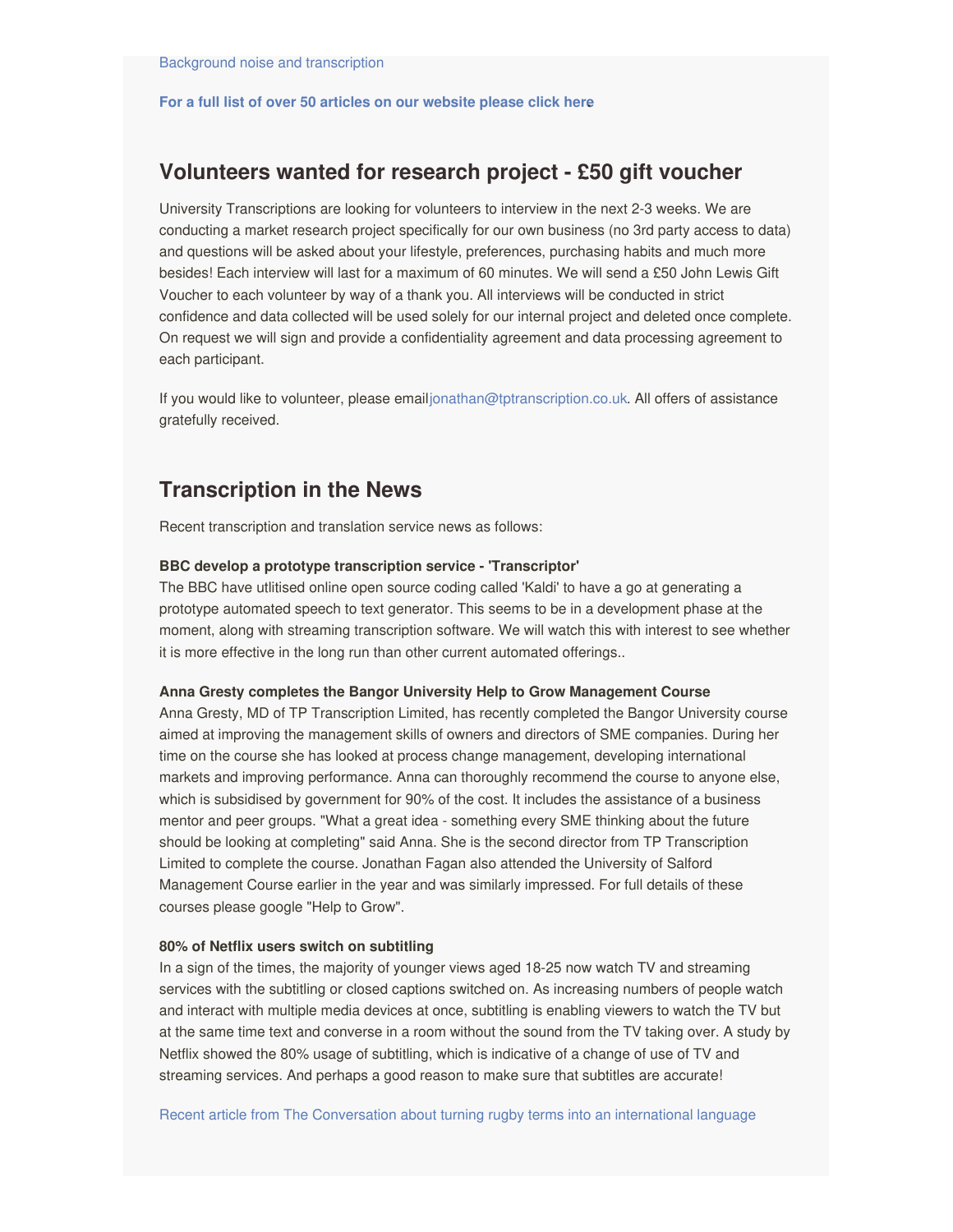#### **For a full list of over 50 articles on our [website](https://www.tptranscription.co.uk/articles-advice/) please click here.**

## **Volunteers wanted for research project - £50 gift voucher**

University Transcriptions are looking for volunteers to interview in the next 2-3 weeks. We are conducting a market research project specifically for our own business (no 3rd party access to data) and questions will be asked about your lifestyle, preferences, purchasing habits and much more besides! Each interview will last for a maximum of 60 minutes. We will send a £50 John Lewis Gift Voucher to each volunteer by way of a thank you. All interviews will be conducted in strict confidence and data collected will be used solely for our internal project and deleted once complete. On request we will sign and provide a confidentiality agreement and data processing agreement to each participant.

If you would like to volunteer, please email[jonathan@tptranscription.co.uk](mailto:jonathan@tptranscription.co.uk). All offers of assistance gratefully received.

## **Transcription in the News**

Recent transcription and translation service news as follows:

#### **BBC develop a prototype transcription service - 'Transcriptor'**

The BBC have utlitised online open source coding called 'Kaldi' to have a go at generating a prototype automated speech to text generator. This seems to be in a development phase at the moment, along with streaming transcription software. We will watch this with interest to see whether it is more effective in the long run than other current automated offerings..

#### **Anna Gresty completes the Bangor University Help to Grow Management Course**

Anna Gresty, MD of TP Transcription Limited, has recently completed the Bangor University course aimed at improving the management skills of owners and directors of SME companies. During her time on the course she has looked at process change management, developing international markets and improving performance. Anna can thoroughly recommend the course to anyone else, which is subsidised by government for 90% of the cost. It includes the assistance of a business mentor and peer groups. "What a great idea - something every SME thinking about the future should be looking at completing" said Anna. She is the second director from TP Transcription Limited to complete the course. Jonathan Fagan also attended the University of Salford Management Course earlier in the year and was similarly impressed. For full details of these courses please google "Help to Grow".

#### **80% of Netflix users switch on subtitling**

In a sign of the times, the majority of younger views aged 18-25 now watch TV and streaming services with the subtitling or closed captions switched on. As increasing numbers of people watch and interact with multiple media devices at once, subtitling is enabling viewers to watch the TV but at the same time text and converse in a room without the sound from the TV taking over. A study by Netflix showed the 80% usage of subtitling, which is indicative of a change of use of TV and streaming services. And perhaps a good reason to make sure that subtitles are accurate!

Recent article from The [Conversation](https://theconversation.com/whats-japanese-for-ruck-turning-rugbys-technical-terms-into-an-international-language-183816) about turning rugby terms into an international language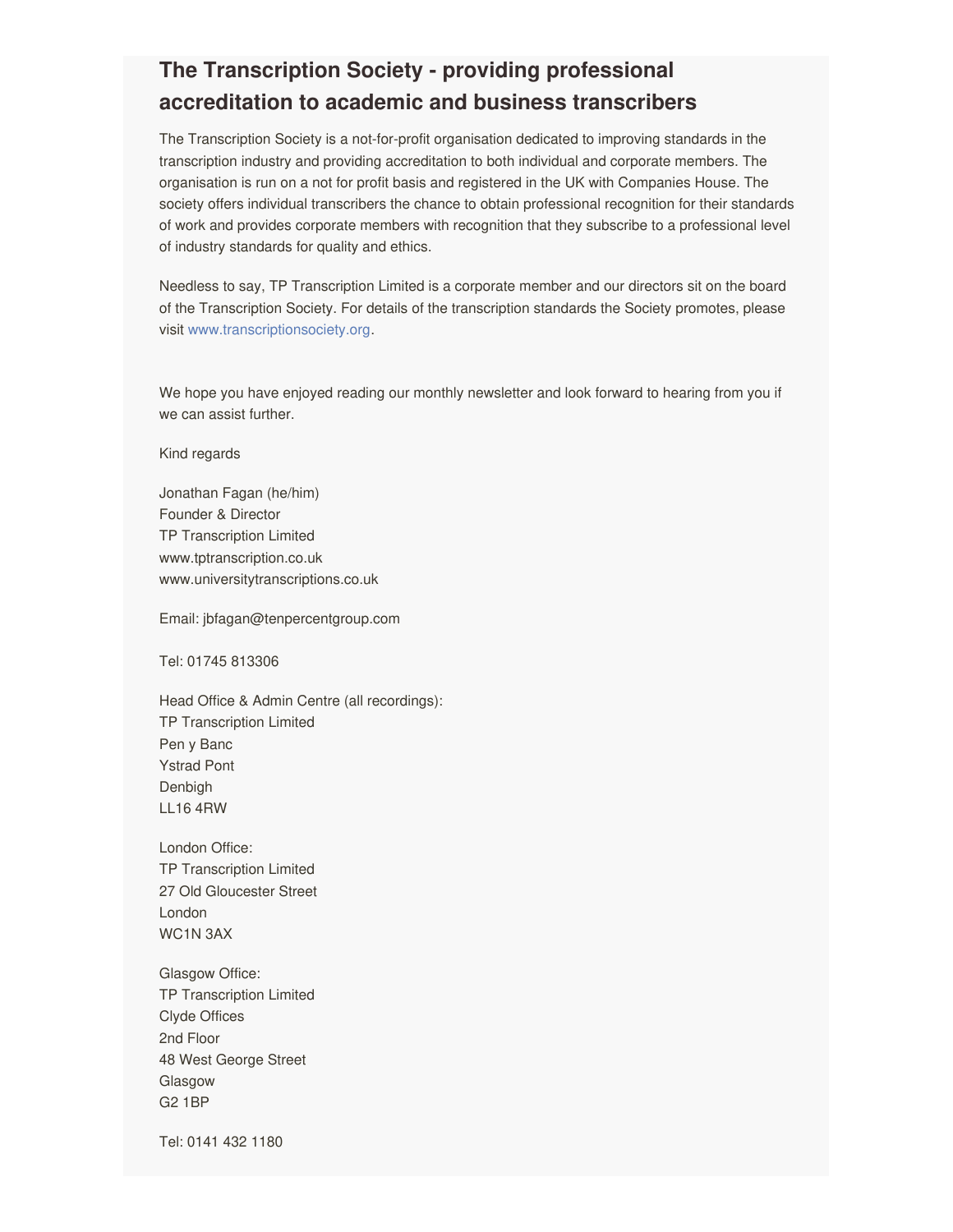# **The Transcription Society - providing professional accreditation to academic and business transcribers**

The Transcription Society is a not-for-profit organisation dedicated to improving standards in the transcription industry and providing accreditation to both individual and corporate members. The organisation is run on a not for profit basis and registered in the UK with Companies House. The society offers individual transcribers the chance to obtain professional recognition for their standards of work and provides corporate members with recognition that they subscribe to a professional level of industry standards for quality and ethics.

Needless to say, TP Transcription Limited is a corporate member and our directors sit on the board of the Transcription Society. For details of the transcription standards the Society promotes, please visit [www.transcriptionsociety.org](http://www.transcriptionsociety.org).

We hope you have enjoyed reading our monthly newsletter and look forward to hearing from you if we can assist further.

Kind regards

Jonathan Fagan (he/him) Founder & Director TP Transcription Limited www.tptranscription.co.uk www.universitytranscriptions.co.uk

Email: jbfagan@tenpercentgroup.com

Tel: 01745 813306

Head Office & Admin Centre (all recordings): TP Transcription Limited Pen y Banc Ystrad Pont Denbigh LL16 4RW

London Office: TP Transcription Limited 27 Old Gloucester Street London WC1N 3AX

Glasgow Office: TP Transcription Limited Clyde Offices 2nd Floor 48 West George Street Glasgow G2 1BP

Tel: 0141 432 1180